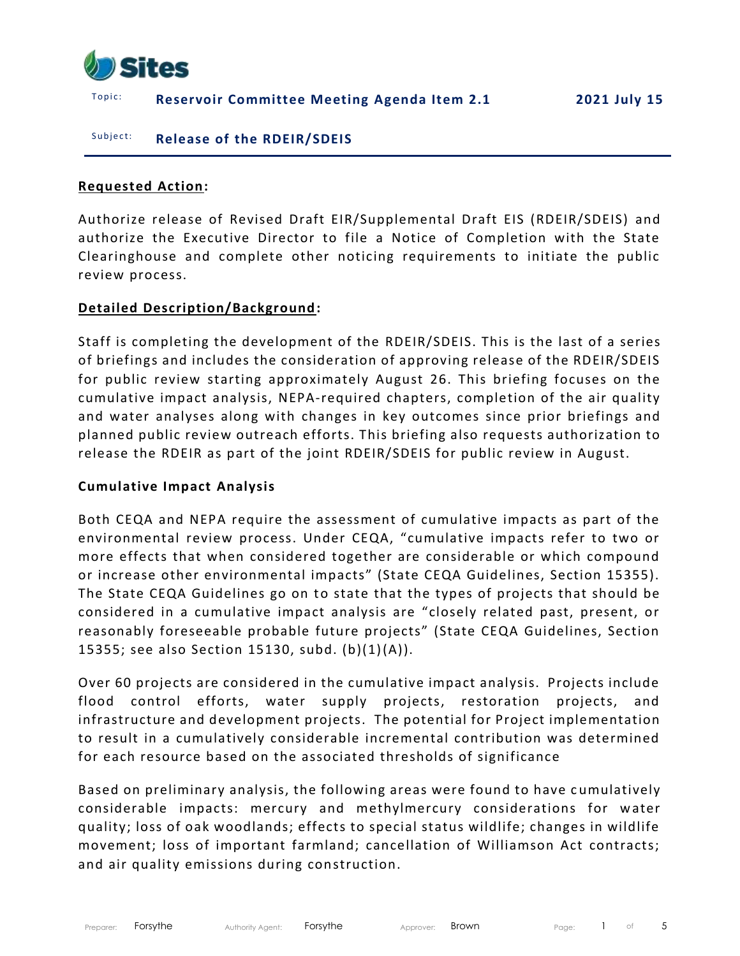

## T o p i c : **Reservoir Committee Meeting Agenda Item 2.1 2021 July 15**

#### Subject: **Release of the RDEIR/SDEIS**

### **Requested Action:**

Authorize release of Revised Draft EIR/Supplemental Draft EIS (RDEIR/SDEIS) and authorize the Executive Director to file a Notice of Completion with the State Clearinghouse and complete other noticing requirements to initiate the public review process.

### **Detailed Description/Background:**

Staff is completing the development of the RDEIR/SDEIS. This is the last of a series of briefings and includes the consideration of approving release of the RDEIR/SDEIS for public review starting approximately August 26. This briefing focuses on the cumulative impact analysis, NEPA-required chapters, completion of the air quality and water analyses along with changes in key outcomes since prior briefings and planned public review outreach efforts. This briefing also requests authorization to release the RDEIR as part of the joint RDEIR/SDEIS for public review in August.

### **Cumulative Impact Analysis**

Both CEQA and NEPA require the assessment of cumulative impacts as part of the environmental review process. Under CEQA, "cumulative impacts refer to two or more effects that when considered together are considerable or which compound or increase other environmental impacts" (State CEQA Guidelines, Section 15355). The State CEQA Guidelines go on to state that the types of projects that should be considered in a cumulative impact analysis are "closely related past, present, or reasonably foreseeable probable future projects" (State CEQA Guidelines, Section 15355; see also Section 15130, subd. (b)(1)(A)).

Over 60 projects are considered in the cumulative impact analysis. Projects include flood control efforts, water supply projects, restoration projects, and infrastructure and development projects. The potential for Project implementation to result in a cumulatively considerable incremental contribution was determined for each resource based on the associated thresholds of significance

Based on preliminary analysis, the following areas were found to have cumulatively considerable impacts: mercury and methylmercury considerations for water quality; loss of oak woodlands; effects to special status wildlife; changes in wildlife movement; loss of important farmland; cancellation of Williamson Act contracts; and air quality emissions during construction.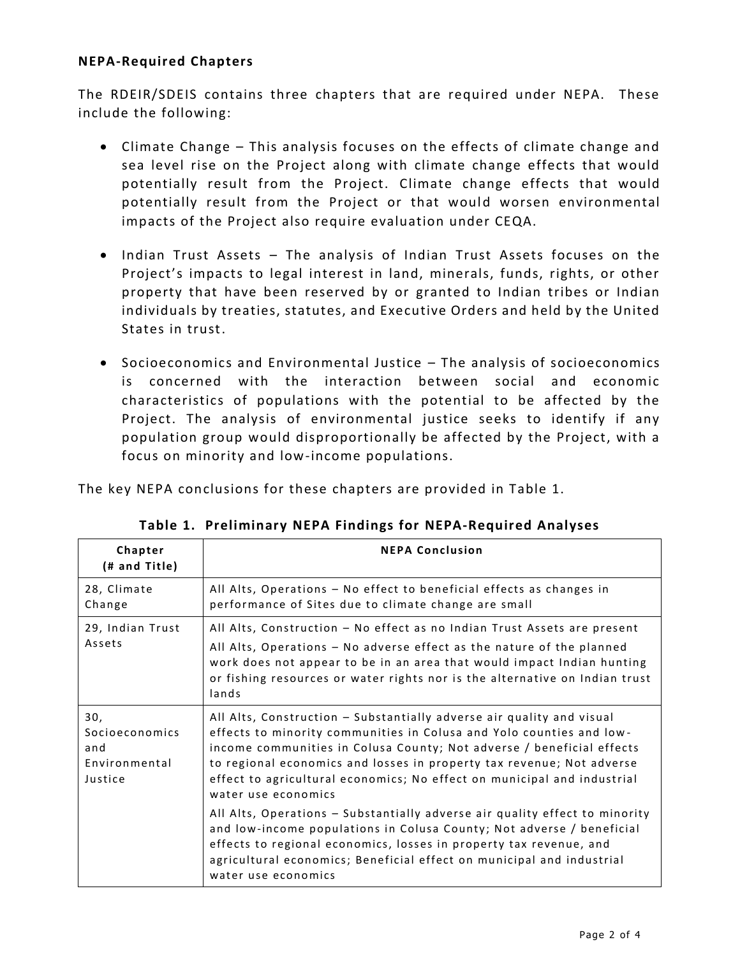### **NEPA-Required Chapters**

The RDEIR/SDEIS contains three chapters that are required under NEPA. These include the following:

- Climate Change This analysis focuses on the effects of climate change and sea level rise on the Project along with climate change effects that would potentially result from the Project. Climate change effects that would potentially result from the Project or that would worsen environmental impacts of the Project also require evaluation under CEQA.
- Indian Trust Assets The analysis of Indian Trust Assets focuses on the Project's impacts to legal interest in land, minerals, funds, rights, or other property that have been reserved by or granted to Indian tribes or Indian individuals by treaties, statutes, and Executive Orders and held by the United States in trust.
- Socioeconomics and Environmental Justice The analysis of socioeconomics is concerned with the interaction between social and economic characteristics of populations with the potential to be affected by the Project. The analysis of environmental justice seeks to identify if any population group would disproportionally be affected by the Project, with a focus on minority and low-income populations.

The key NEPA conclusions for these chapters are provided in Table 1.

| Chapter<br>(# and Title)                                 | <b>NEPA Conclusion</b>                                                                                                                                                                                                                                                                                                                                                                            |
|----------------------------------------------------------|---------------------------------------------------------------------------------------------------------------------------------------------------------------------------------------------------------------------------------------------------------------------------------------------------------------------------------------------------------------------------------------------------|
| 28, Climate<br>Change                                    | All Alts, Operations - No effect to beneficial effects as changes in<br>performance of Sites due to climate change are small                                                                                                                                                                                                                                                                      |
| 29, Indian Trust<br>Assets                               | All Alts, Construction - No effect as no Indian Trust Assets are present<br>All Alts, Operations - No adverse effect as the nature of the planned<br>work does not appear to be in an area that would impact Indian hunting<br>or fishing resources or water rights nor is the alternative on Indian trust<br>lands                                                                               |
| 30,<br>Socioeconomics<br>and<br>Environmental<br>Justice | All Alts, Construction - Substantially adverse air quality and visual<br>effects to minority communities in Colusa and Yolo counties and low-<br>income communities in Colusa County; Not adverse / beneficial effects<br>to regional economics and losses in property tax revenue; Not adverse<br>effect to agricultural economics; No effect on municipal and industrial<br>water use economics |
|                                                          | All Alts, Operations - Substantially adverse air quality effect to minority<br>and low-income populations in Colusa County; Not adverse / beneficial<br>effects to regional economics, losses in property tax revenue, and<br>agricultural economics; Beneficial effect on municipal and industrial<br>water use economics                                                                        |

|  |  |  |  |  | Table 1. Preliminary NEPA Findings for NEPA-Required Analyses |  |
|--|--|--|--|--|---------------------------------------------------------------|--|
|--|--|--|--|--|---------------------------------------------------------------|--|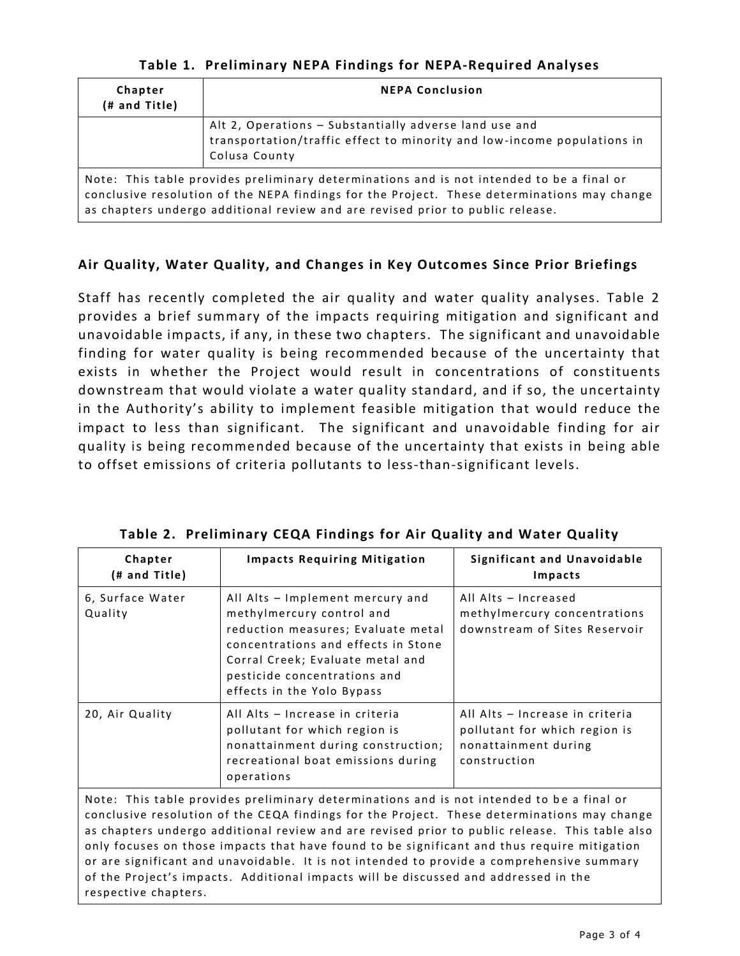|  |  |  |  |  | Table 1. Preliminary NEPA Findings for NEPA-Required Analyses |  |
|--|--|--|--|--|---------------------------------------------------------------|--|
|--|--|--|--|--|---------------------------------------------------------------|--|

| Chapter<br>(# and Title) | <b>NEPA Conclusion</b>                                                                                                                                                                                                                                                     |  |  |  |  |  |  |  |
|--------------------------|----------------------------------------------------------------------------------------------------------------------------------------------------------------------------------------------------------------------------------------------------------------------------|--|--|--|--|--|--|--|
|                          | Alt 2, Operations - Substantially adverse land use and<br>transportation/traffic effect to minority and low-income populations in<br>Colusa County                                                                                                                         |  |  |  |  |  |  |  |
|                          | Note: This table provides preliminary determinations and is not intended to be a final or<br>conclusive resolution of the NEPA findings for the Project. These determinations may change<br>as chapters undergo additional review and are revised prior to public release. |  |  |  |  |  |  |  |

# Air Quality, Water Quality, and Changes in Key Outcomes Since Prior Briefings

Staff has recently completed the air quality and water quality analyses. Table 2 provides a brief summary of the impacts requiring mitigation and significant and unavoidable impacts, if any, in these two chapters. The significant and unavoidable finding for water quality is being recommended because of the uncertainty that exists in whether the Project would result in concentrations of constituents downstream that would violate a water quality standard, and if so, the uncertainty in the Authority's ability to implement feasible mitigation that would reduce the impact to less than significant. The significant and unavoidable finding for air quality is being recommended because of the uncertainty that exists in being able to offset emissions of criteria pollutants to less-than-significant levels.

| Chapter<br>(# and Title)                                                                                                                                                                                                                                                                                                                                                                                                                                                                                                                                                                              | <b>Impacts Requiring Mitigation</b>                                                                                                                                                                                                          | <b>Significant and Unavoidable</b><br>Impacts                                                            |  |  |  |
|-------------------------------------------------------------------------------------------------------------------------------------------------------------------------------------------------------------------------------------------------------------------------------------------------------------------------------------------------------------------------------------------------------------------------------------------------------------------------------------------------------------------------------------------------------------------------------------------------------|----------------------------------------------------------------------------------------------------------------------------------------------------------------------------------------------------------------------------------------------|----------------------------------------------------------------------------------------------------------|--|--|--|
| 6, Surface Water<br>Quality                                                                                                                                                                                                                                                                                                                                                                                                                                                                                                                                                                           | All Alts - Implement mercury and<br>methylmercury control and<br>reduction measures; Evaluate metal<br>concentrations and effects in Stone<br>Corral Creek; Evaluate metal and<br>pesticide concentrations and<br>effects in the Yolo Bypass | All Alts - Increased<br>methylmercury concentrations<br>downstream of Sites Reservoir                    |  |  |  |
| 20, Air Quality                                                                                                                                                                                                                                                                                                                                                                                                                                                                                                                                                                                       | All Alts - Increase in criteria<br>pollutant for which region is<br>nonattainment during construction;<br>recreational boat emissions during<br>operations                                                                                   | All Alts - Increase in criteria<br>pollutant for which region is<br>nonattainment during<br>construction |  |  |  |
| Note: This table provides preliminary determinations and is not intended to be a final or<br>conclusive resolution of the CEQA findings for the Project. These determinations may change<br>as chapters undergo additional review and are revised prior to public release. This table also<br>only focuses on those impacts that have found to be significant and thus require mitigation<br>or are significant and unavoidable. It is not intended to provide a comprehensive summary<br>of the Project's impacts. Additional impacts will be discussed and addressed in the<br>respective chapters. |                                                                                                                                                                                                                                              |                                                                                                          |  |  |  |

|  |  | <b>Table 2. Preliminary CEQA Findings for Air Quality and Water Quality</b> |  |  |  |  |  |  |  |  |  |
|--|--|-----------------------------------------------------------------------------|--|--|--|--|--|--|--|--|--|
|--|--|-----------------------------------------------------------------------------|--|--|--|--|--|--|--|--|--|